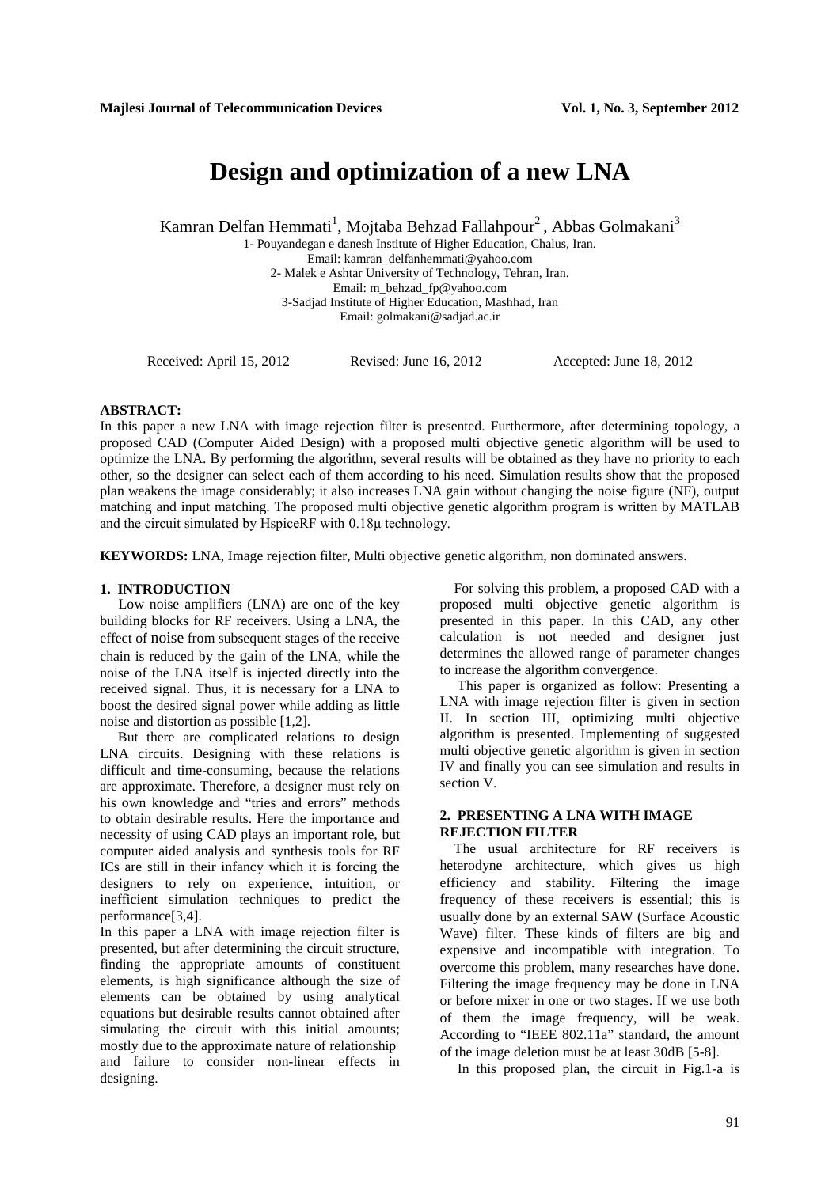# **Design and optimization of a new LNA**

Kamran Delfan Hemmati<sup>1</sup>, Mojtaba Behzad Fallahpour<sup>2</sup>, Abbas Golmakani<sup>3</sup>

1- Pouyandegan e danesh Institute of Higher Education, Chalus, Iran. Email: [kamran\\_delfanhemmati@yahoo.com](mailto:kamran_delfanhemmati@yahoo.com) 2- Malek e Ashtar University of Technology, Tehran, Iran. Email: [m\\_behzad\\_fp@yahoo.com](mailto:m_behzad_fp@yahoo.com) 3-Sadjad Institute of Higher Education, Mashhad, Iran Email: [golmakani@sadjad.ac.ir](mailto:golmakani@sadjad.ac.ir)

Received: April 15, 2012 Revised: June 16, 2012 Accepted: June 18, 2012

#### **ABSTRACT:**

In this paper a new LNA with image rejection filter is presented. Furthermore, after determining topology, a proposed CAD (Computer Aided Design) with a proposed multi objective genetic algorithm will be used to optimize the LNA. By performing the algorithm, several results will be obtained as they have no priority to each other, so the designer can select each of them according to his need. Simulation results show that the proposed plan weakens the image considerably; it also increases LNA gain without changing the noise figure (NF), output matching and input matching. The proposed multi objective genetic algorithm program is written by MATLAB and the circuit simulated by HspiceRF with 0.18μ technology.

**KEYWORDS:** LNA, Image rejection filter, Multi objective genetic algorithm, non dominated answers.

### **1. INTRODUCTION**

 Low noise amplifiers (LNA) are one of the key building blocks for RF receivers. Using a LNA, the effect of [noise](http://en.wikipedia.org/wiki/Electronic_noise) from subsequent stages of the receive chain is reduced by the [gain](http://en.wikipedia.org/wiki/Gain) of the LNA, while the noise of the LNA itself is injected directly into the received signal. Thus, it is necessary for a LNA to boost the desired signal power while adding as little noise and distortion as possible [1,2].

 But there are complicated relations to design LNA circuits. Designing with these relations is difficult and time-consuming, because the relations are approximate. Therefore, a designer must rely on his own knowledge and "tries and errors" methods to obtain desirable results. Here the importance and necessity of using CAD plays an important role, but computer aided analysis and synthesis tools for RF ICs are still in their infancy which it is forcing the designers to rely on experience, intuition, or inefficient simulation techniques to predict the performance[3,4].

In this paper a LNA with image rejection filter is presented, but after determining the circuit structure, finding the appropriate amounts of constituent elements, is high significance although the size of elements can be obtained by using analytical equations but desirable results cannot obtained after simulating the circuit with this initial amounts; mostly due to the approximate nature of relationship and failure to consider non-linear effects in designing.

 For solving this problem, a proposed CAD with a proposed multi objective genetic algorithm is presented in this paper. In this CAD, any other calculation is not needed and designer just determines the allowed range of parameter changes to increase the algorithm convergence.

 This paper is organized as follow: Presenting a LNA with image rejection filter is given in section II. In section III, optimizing multi objective algorithm is presented. Implementing of suggested multi objective genetic algorithm is given in section IV and finally you can see simulation and results in section V.

# **2. PRESENTING A LNA WITH IMAGE REJECTION FILTER**

The usual architecture for RF receivers is heterodyne architecture, which gives us high efficiency and stability. Filtering the image frequency of these receivers is essential; this is usually done by an external SAW [\(Surface Acoustic](http://en.wikipedia.org/wiki/Surface_acoustic_wave)  [Wave\)](http://en.wikipedia.org/wiki/Surface_acoustic_wave) filter. These kinds of filters are big and expensive and incompatible with integration. To overcome this problem, many researches have done. Filtering the image frequency may be done in LNA or before mixer in one or two stages. If we use both of them the image frequency, will be weak. According to "IEEE 802.11a" standard, the amount of the image deletion must be at least 30dB [5-8].

In this proposed plan, the circuit in Fig.1-a is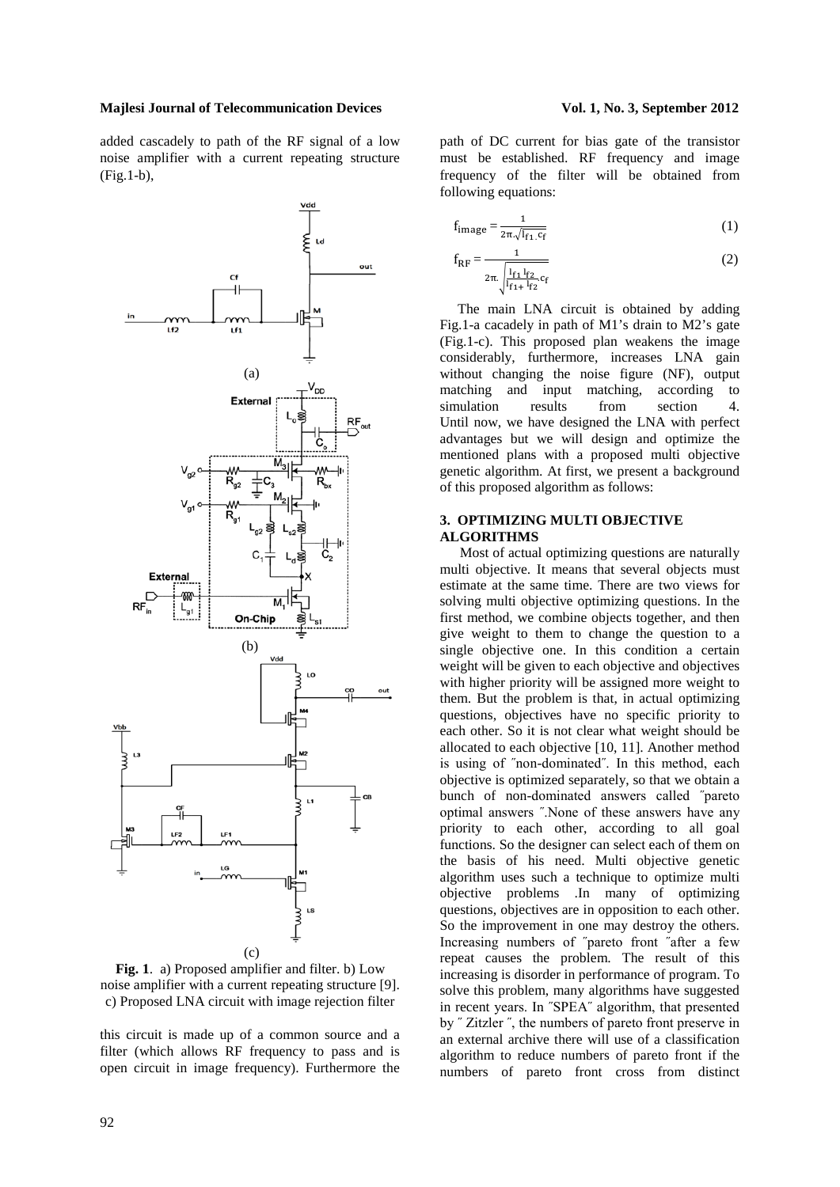#### **Majlesi Journal of Telecommunication Devices Vol. 1, No. 3, September 2012**

added cascadely to path of the RF signal of a low noise amplifier with a current repeating structure (Fig.1-b),





this circuit is made up of a common source and a filter (which allows RF frequency to pass and is open circuit in image frequency). Furthermore the

path of DC current for bias gate of the transistor must be established. RF frequency and image frequency of the filter will be obtained from following equations:

$$
f_{\text{image}} = \frac{1}{2\pi\sqrt{I_{f1}C_f}}
$$
 (1)

$$
f_{RF} = \frac{1}{2\pi \sqrt{\frac{l_{f1} l_{f2}}{l_{f1} + l_{f2}} c_f}}
$$
 (2)

 The main LNA circuit is obtained by adding Fig.1-a cacadely in path of M1's drain to M2's gate (Fig.1-c). This proposed plan weakens the image considerably, furthermore, increases LNA gain without changing the noise figure (NF), output matching and input matching, according to simulation results from section 4. Until now, we have designed the LNA with perfect advantages but we will design and optimize the mentioned plans with a proposed multi objective genetic algorithm. At first, we present a background of this proposed algorithm as follows:

# **3. OPTIMIZING MULTI OBJECTIVE ALGORITHMS**

Most of actual optimizing questions are naturally multi objective. It means that several objects must estimate at the same time. There are two views for solving multi objective optimizing questions. In the first method, we combine objects together, and then give weight to them to change the question to a single objective one. In this condition a certain weight will be given to each objective and objectives with higher priority will be assigned more weight to them. But the problem is that, in actual optimizing questions, objectives have no specific priority to each other. So it is not clear what weight should be allocated to each objective [10, 11]. Another method is using of ˝non-dominated˝. In this method, each objective is optimized separately, so that we obtain a bunch of non-dominated answers called ˝pareto optimal answers ˝.None of these answers have any priority to each other, according to all goal functions. So the designer can select each of them on the basis of his need. Multi objective genetic algorithm uses such a technique to optimize multi objective problems .In many of optimizing questions, objectives are in opposition to each other. So the improvement in one may destroy the others. Increasing numbers of ˝pareto front ˝after a few repeat causes the problem. The result of this increasing is disorder in performance of program. To solve this problem, many algorithms have suggested in recent years. In ˝SPEA˝ algorithm, that presented by ˝ Zitzler ˝, the numbers of pareto front preserve in an external archive there will use of a classification algorithm to reduce numbers of pareto front if the numbers of pareto front cross from distinct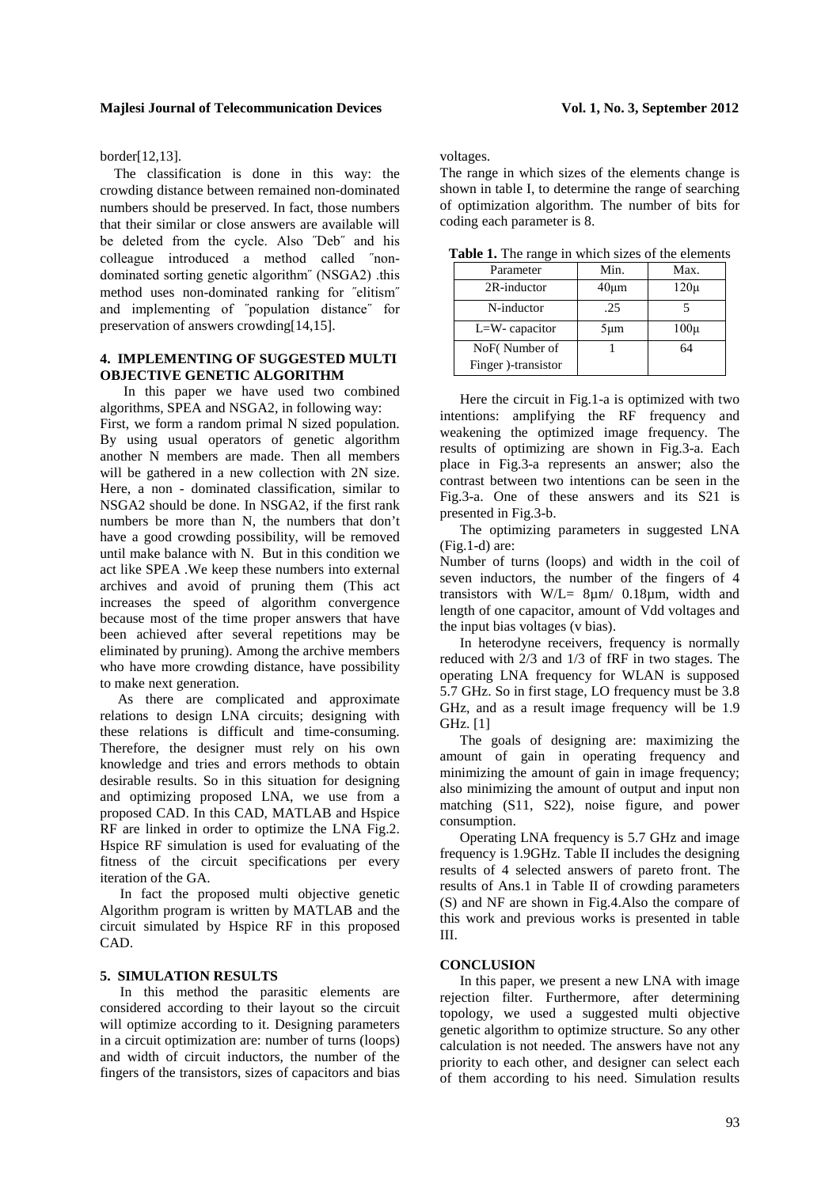border[12,13].

The classification is done in this way: the crowding distance between remained non-dominated numbers should be preserved. In fact, those numbers that their similar or close answers are available will be deleted from the cycle. Also ˝Deb˝ and his colleague introduced a method called ˝nondominated sorting genetic algorithm" (NSGA2) .this method uses non-dominated ranking for ˝elitism˝ and implementing of ˝population distance˝ for preservation of answers crowding[14,15].

# **4. IMPLEMENTING OF SUGGESTED MULTI OBJECTIVE GENETIC ALGORITHM**

In this paper we have used two combined algorithms, SPEA and NSGA2, in following way: First, we form a random primal N sized population. By using usual operators of genetic algorithm another N members are made. Then all members will be gathered in a new collection with 2N size. Here, a non - dominated classification, similar to NSGA2 should be done. In NSGA2, if the first rank numbers be more than N, the numbers that don't have a good crowding possibility, will be removed until make balance with N. But in this condition we act like SPEA .We keep these numbers into external archives and avoid of pruning them (This act increases the speed of algorithm convergence because most of the time proper answers that have been achieved after several repetitions may be eliminated by pruning). Among the archive members who have more crowding distance, have possibility to make next generation.

 As there are complicated and approximate relations to design LNA circuits; designing with these relations is difficult and time-consuming. Therefore, the designer must rely on his own knowledge and tries and errors methods to obtain desirable results. So in this situation for designing and optimizing proposed LNA, we use from a proposed CAD. In this CAD, MATLAB and Hspice RF are linked in order to optimize the LNA Fig.2. Hspice RF simulation is used for evaluating of the fitness of the circuit specifications per every iteration of the GA.

In fact the proposed multi objective genetic Algorithm program is written by MATLAB and the circuit simulated by Hspice RF in this proposed CAD.

# **5. SIMULATION RESULTS**

In this method the parasitic elements are considered according to their layout so the circuit will optimize according to it. Designing parameters in a circuit optimization are: number of turns (loops) and width of circuit inductors, the number of the fingers of the transistors, sizes of capacitors and bias voltages.

The range in which sizes of the elements change is shown in table I, to determine the range of searching of optimization algorithm. The number of bits for coding each parameter is 8.

| Parameter           | Min.       | Max.     |
|---------------------|------------|----------|
| 2R-inductor         | $40 \mu m$ | $120\mu$ |
| N-inductor          | .25        |          |
| $L=W-$ capacitor    | $5 \mu m$  | $100\mu$ |
| NoF(Number of       |            | 64       |
| Finger )-transistor |            |          |

**Table 1.** The range in which sizes of the elements

Here the circuit in Fig.1-a is optimized with two intentions: amplifying the RF frequency and weakening the optimized image frequency. The results of optimizing are shown in Fig.3-a. Each place in Fig.3-a represents an answer; also the contrast between two intentions can be seen in the Fig.3-a. One of these answers and its S21 is presented in Fig.3-b.

The optimizing parameters in suggested LNA (Fig.1-d) are:

Number of turns (loops) and width in the coil of seven inductors, the number of the fingers of 4 transistors with  $W/L = 8\mu m/ 0.18\mu m$ , width and length of one capacitor, amount of Vdd voltages and the input bias voltages (v bias).

In heterodyne receivers, frequency is normally reduced with 2/3 and 1/3 of fRF in two stages. The operating LNA frequency for WLAN is supposed 5.7 GHz. So in first stage, LO frequency must be 3.8 GHz, and as a result image frequency will be 1.9 GHz. [1]

The goals of designing are: maximizing the amount of gain in operating frequency and minimizing the amount of gain in image frequency; also minimizing the amount of output and input non matching (S11, S22), noise figure, and power consumption.

Operating LNA frequency is 5.7 GHz and image frequency is 1.9GHz. Table II includes the designing results of 4 selected answers of pareto front. The results of Ans.1 in Table II of crowding parameters (S) and NF are shown in Fig.4.Also the compare of this work and previous works is presented in table III.

# **CONCLUSION**

In this paper, we present a new LNA with image rejection filter. Furthermore, after determining topology, we used a suggested multi objective genetic algorithm to optimize structure. So any other calculation is not needed. The answers have not any priority to each other, and designer can select each of them according to his need. Simulation results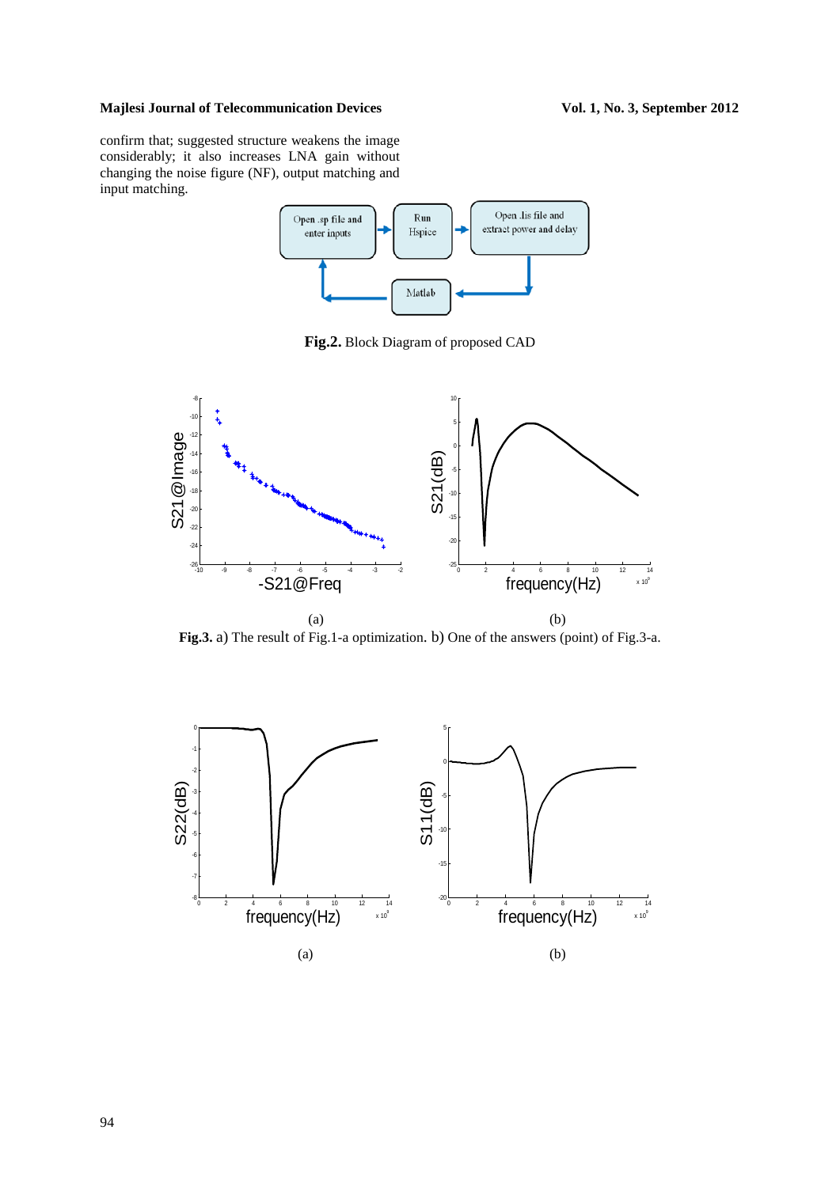# Majlesi Journal of Telecommunication Devices Vol. 1, No. 3, September 2012

confirm that; suggested structure weakens the image considerably; it also increases LNA gain without changing the noise figure (NF), output matching and input matching.



**Fig.2.** Block Diagram of proposed CAD



**Fig.3.** a) The result of Fig.1-a optimization. b) One of the answers (point) of Fig.3-a.

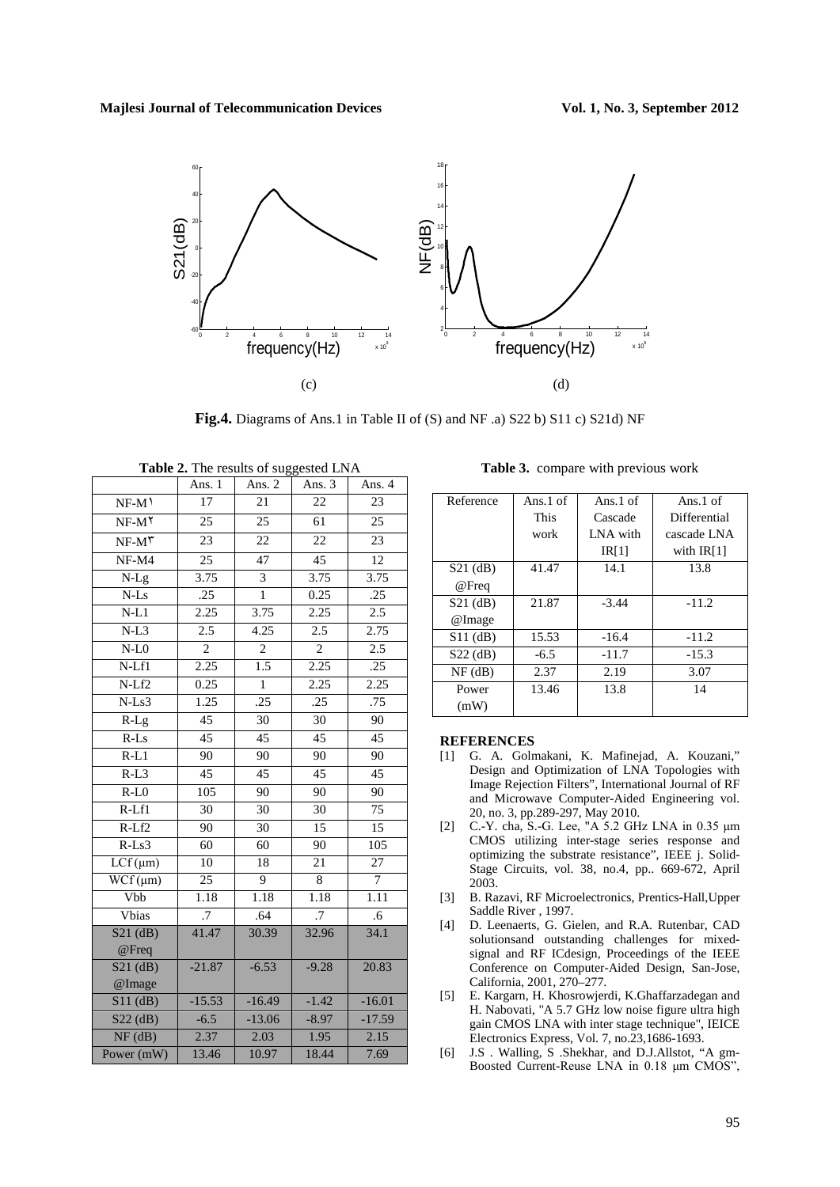

**Fig.4.** Diagrams of Ans.1 in Table II of (S) and NF .a) S22 b) S11 c) S21d) NF

|                                       | Ans. 1          | Ans. 2          | Ans. 3          | Ans. 4          |
|---------------------------------------|-----------------|-----------------|-----------------|-----------------|
| $NF-M$ <sup><math>\prime</math></sup> | 17              | 21              | 22              | 23              |
| $NF-M^{\gamma}$                       | 25              | 25              | 61              | 25              |
| $NF-M^{\dagger}$                      | $\overline{23}$ | 22              | 22              | $\overline{23}$ |
| $NF-M4$                               | $\overline{25}$ | 47              | $\overline{45}$ | $\overline{12}$ |
| $N-Lg$                                | 3.75            | 3               | 3.75            | 3.75            |
| $N$ -Ls $\,$                          | .25             | $\mathbf{1}$    | 0.25            | .25             |
| $N-L1$                                | 2.25            | 3.75            | 2.25            | 2.5             |
| $N-L3$                                | 2.5             | 4.25            | 2.5             | 2.75            |
| $N-L0$                                | $\overline{2}$  | $\overline{2}$  | $\overline{2}$  | 2.5             |
| N-Lf1                                 | 2.25            | 1.5             | 2.25            | .25             |
| $N-Lf2$                               | 0.25            | $\mathbf 1$     | 2.25            | 2.25            |
| $N-Ls3$                               | 1.25            | .25             | .25             | .75             |
| $R-Lg$                                | 45              | 30              | 30              | 90              |
| $R$ -Ls                               | 45              | $\overline{45}$ | $\overline{45}$ | $\overline{45}$ |
| $R-L1$                                | 90              | 90              | $\overline{90}$ | 90              |
| $R-L3$                                | 45              | $\overline{45}$ | 45              | 45              |
| $R-L0$                                | 105             | 90              | 90              | 90              |
| $R-Lf1$                               | 30              | 30              | 30              | 75              |
| $R-Lf2$                               | 90              | 30              | 15              | $\overline{15}$ |
| $R$ -Ls $3$                           | 60              | 60              | 90              | 105             |
| $LCf(\mu m)$                          | 10              | 18              | $\overline{21}$ | $\overline{27}$ |
| $WCF(\mu m)$                          | $\overline{25}$ | 9               | $\,8\,$         | $\tau$          |
| <b>Vbb</b>                            | 1.18            | 1.18            | 1.18            | 1.11            |
| Vbias                                 | $\overline{.7}$ | .64             | $\overline{.7}$ | $\overline{.6}$ |
| $S21$ (dB)<br>@Freq                   | 41.47           | 30.39           | 32.96           | 34.1            |
| $S21$ (dB)<br>@Image                  | $-21.87$        | $-6.53$         | $-9.28$         | 20.83           |
| $S11$ (dB)                            | $-15.53$        | $-16.49$        | $-1.42$         | $-16.01$        |
| $S22$ (dB)                            | $-6.5$          | $-13.06$        | $-8.97$         | $-17.59$        |
| $\overline{\text{NF}(\text{dB})}$     | 2.37            | 2.03            | 1.95            | 2.15            |
| Power (mW)                            | 13.46           | 10.97           | 18.44           | 7.69            |
|                                       |                 |                 |                 |                 |

**Table 2.** The results of suggested LNA

**Table 3.** compare with previous work

| Reference  | Ans. $1$ of | Ans.1 of | Ans.1 of     |
|------------|-------------|----------|--------------|
|            | This        | Cascade  | Differential |
|            | work        | LNA with | cascade LNA  |
|            |             | IR[1]    | with $IR[1]$ |
| S21 (dB)   | 41.47       | 14.1     | 13.8         |
| @Freq      |             |          |              |
| $S21$ (dB) | 21.87       | $-3.44$  | $-11.2$      |
| @Image     |             |          |              |
| $S11$ (dB) | 15.53       | $-16.4$  | $-11.2$      |
| $S22$ (dB) | $-6.5$      | $-11.7$  | $-15.3$      |
| $NF$ (dB)  | 2.37        | 2.19     | 3.07         |
| Power      | 13.46       | 13.8     | 14           |
| (mW)       |             |          |              |

#### **REFERENCES**

- [1] G. A. Golmakani, K. Mafinejad, A. Kouzani," Design and Optimization of LNA Topologies with Image Rejection Filters", International Journal of RF and Microwave Computer-Aided Engineering vol. 20, no. 3, pp.289-297, May 2010.
- [2] C.-Y. cha, S.-G. Lee, "A 5.2 GHz LNA in 0.35 μm CMOS utilizing inter-stage series response and optimizing the substrate resistance", IEEE j. Solid-Stage Circuits, vol. 38, no.4, pp.. 669-672, April 2003.
- [3] B. Razavi, RF Microelectronics, Prentics-Hall,Upper Saddle River , 1997.
- [4] D. Leenaerts, G. Gielen, and R.A. Rutenbar, CAD solutionsand outstanding challenges for mixedsignal and RF ICdesign, Proceedings of the IEEE Conference on Computer-Aided Design, San-Jose, California, 2001, 270–277.
- [5] E. Kargarn, H. Khosrowjerdi, K.Ghaffarzadegan and H. Nabovati, "A 5.7 GHz low noise figure ultra high gain CMOS LNA with inter stage technique", IEICE Electronics Express, Vol. 7, no.23,1686-1693.
- [6] J.S . Walling, S .Shekhar, and D.J.Allstot, "A gm-Boosted Current-Reuse LNA in 0.18 μm CMOS",